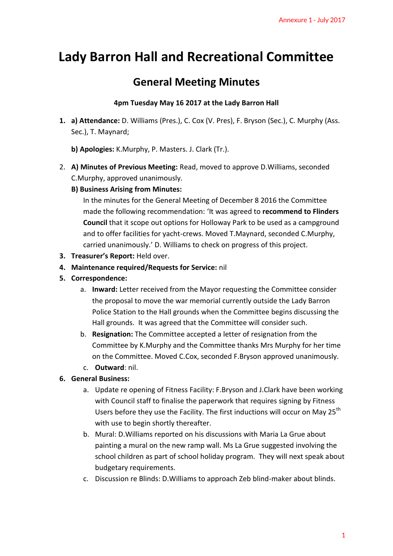## **Lady Barron Hall and Recreational Committee**

## **General Meeting Minutes**

## **4pm Tuesday May 16 2017 at the Lady Barron Hall**

- **1. a) Attendance:** D. Williams (Pres.), C. Cox (V. Pres), F. Bryson (Sec.), C. Murphy (Ass. Sec.), T. Maynard;
	- **b) Apologies:** K.Murphy, P. Masters. J. Clark (Tr.).
- 2. **A) Minutes of Previous Meeting:** Read, moved to approve D.Williams, seconded C.Murphy, approved unanimously.
	- **B) Business Arising from Minutes:**

In the minutes for the General Meeting of December 8 2016 the Committee made the following recommendation: 'It was agreed to **recommend to Flinders Council** that it scope out options for Holloway Park to be used as a campground and to offer facilities for yacht-crews. Moved T.Maynard, seconded C.Murphy, carried unanimously.' D. Williams to check on progress of this project. Annexure 1 - July 2017<br> **DIMMITLEE**<br> **C.**<br> **C.**<br> **C.**<br> **C.**<br> **C.**<br> **C.**<br> **C.**<br> **C.**<br> **C.**<br> **C.**<br> **C.**<br> **C.**<br> **C.**<br> **C.**<br> **C.**<br> **C.**<br> **C.**<br> **C.**<br> **C.**<br> **C.**<br> **C.**<br> **C.**<br> **C.**<br> **C.**<br> **C.**<br> **C.**<br> **C.**<br> **C.**<br> **C.**<br> **C.**<br> **C.**<br>

- **3. Treasurer's Report:** Held over.
- **4. Maintenance required/Requests for Service:** nil
- **5. Correspondence:** 
	- a. **Inward:** Letter received from the Mayor requesting the Committee consider the proposal to move the war memorial currently outside the Lady Barron Police Station to the Hall grounds when the Committee begins discussing the Hall grounds. It was agreed that the Committee will consider such.
	- b. **Resignation:** The Committee accepted a letter of resignation from the Committee by K.Murphy and the Committee thanks Mrs Murphy for her time on the Committee. Moved C.Cox, seconded F.Bryson approved unanimously.
	- c. **Outward**: nil.
- **6. General Business:** 
	- a. Update re opening of Fitness Facility: F.Bryson and J.Clark have been working with Council staff to finalise the paperwork that requires signing by Fitness Users before they use the Facility. The first inductions will occur on May 25<sup>th</sup> with use to begin shortly thereafter.
	- b. Mural: D.Williams reported on his discussions with Maria La Grue about painting a mural on the new ramp wall. Ms La Grue suggested involving the school children as part of school holiday program. They will next speak about budgetary requirements.
	- c. Discussion re Blinds: D.Williams to approach Zeb blind-maker about blinds.